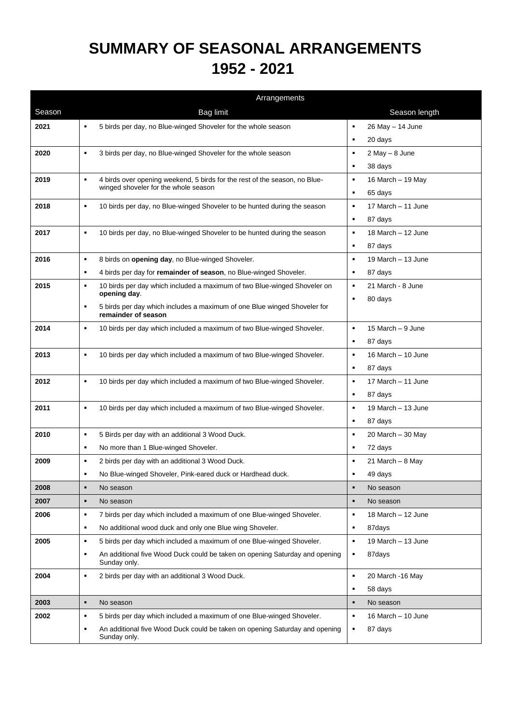## **SUMMARY OF SEASONAL ARRANGEMENTS 1952 - 2021**

|        | Arrangements                                                                                                      |                                      |
|--------|-------------------------------------------------------------------------------------------------------------------|--------------------------------------|
| Season | <b>Bag limit</b>                                                                                                  | Season length                        |
| 2021   | 5 birds per day, no Blue-winged Shoveler for the whole season<br>$\blacksquare$                                   | 26 May - 14 June<br>$\blacksquare$   |
|        |                                                                                                                   | 20 days<br>٠                         |
| 2020   | 3 birds per day, no Blue-winged Shoveler for the whole season<br>$\blacksquare$                                   | $\blacksquare$<br>2 May - 8 June     |
|        |                                                                                                                   | 38 days<br>٠                         |
| 2019   | 4 birds over opening weekend, 5 birds for the rest of the season, no Blue-<br>$\blacksquare$                      | 16 March - 19 May<br>٠               |
|        | winged shoveler for the whole season                                                                              | 65 days<br>٠                         |
| 2018   | 10 birds per day, no Blue-winged Shoveler to be hunted during the season<br>$\blacksquare$                        | 17 March - 11 June<br>$\blacksquare$ |
|        |                                                                                                                   | 87 days<br>٠                         |
| 2017   | 10 birds per day, no Blue-winged Shoveler to be hunted during the season<br>$\blacksquare$                        | 18 March - 12 June<br>$\blacksquare$ |
|        |                                                                                                                   | 87 days<br>٠                         |
| 2016   | 8 birds on opening day, no Blue-winged Shoveler.<br>٠                                                             | 19 March - 13 June<br>$\blacksquare$ |
|        | 4 birds per day for remainder of season, no Blue-winged Shoveler.<br>٠                                            | 87 days<br>٠                         |
| 2015   | 10 birds per day which included a maximum of two Blue-winged Shoveler on<br>٠                                     | 21 March - 8 June<br>$\blacksquare$  |
|        | opening day.                                                                                                      | 80 days<br>$\blacksquare$            |
|        | 5 birds per day which includes a maximum of one Blue winged Shoveler for<br>$\blacksquare$<br>remainder of season |                                      |
| 2014   | $\blacksquare$<br>10 birds per day which included a maximum of two Blue-winged Shoveler.                          | 15 March - 9 June<br>$\blacksquare$  |
|        |                                                                                                                   | 87 days<br>$\blacksquare$            |
| 2013   | $\blacksquare$<br>10 birds per day which included a maximum of two Blue-winged Shoveler.                          | 16 March - 10 June<br>$\blacksquare$ |
|        |                                                                                                                   | 87 days<br>٠                         |
| 2012   | 10 birds per day which included a maximum of two Blue-winged Shoveler.<br>$\blacksquare$                          | 17 March - 11 June<br>٠              |
|        |                                                                                                                   | 87 days<br>٠                         |
| 2011   | 10 birds per day which included a maximum of two Blue-winged Shoveler.<br>٠                                       | 19 March - 13 June<br>٠              |
|        |                                                                                                                   | 87 days<br>$\blacksquare$            |
| 2010   | 5 Birds per day with an additional 3 Wood Duck.<br>٠                                                              | 20 March - 30 May<br>٠               |
|        | No more than 1 Blue-winged Shoveler.<br>٠                                                                         | 72 days<br>٠                         |
| 2009   | 2 birds per day with an additional 3 Wood Duck.<br>٠                                                              | 21 March $-$ 8 May<br>٠              |
|        | No Blue-winged Shoveler, Pink-eared duck or Hardhead duck.                                                        | 49 days                              |
| 2008   | No season<br>٠                                                                                                    | No season<br>$\blacksquare$          |
| 2007   | $\blacksquare$<br>No season                                                                                       | No season<br>п                       |
| 2006   | 7 birds per day which included a maximum of one Blue-winged Shoveler.<br>٠                                        | 18 March - 12 June<br>٠              |
|        | No additional wood duck and only one Blue wing Shoveler.<br>٠                                                     | 87days<br>٠                          |
| 2005   | 5 birds per day which included a maximum of one Blue-winged Shoveler.<br>٠                                        | 19 March - 13 June<br>$\blacksquare$ |
|        | An additional five Wood Duck could be taken on opening Saturday and opening<br>$\blacksquare$<br>Sunday only.     | 87days<br>٠                          |
| 2004   | 2 birds per day with an additional 3 Wood Duck.<br>٠                                                              | 20 March -16 May<br>$\blacksquare$   |
|        |                                                                                                                   | 58 days<br>٠                         |
| 2003   | No season<br>$\blacksquare$                                                                                       | No season<br>$\blacksquare$          |
| 2002   | 5 birds per day which included a maximum of one Blue-winged Shoveler.<br>٠                                        | 16 March - 10 June<br>٠              |
|        | An additional five Wood Duck could be taken on opening Saturday and opening<br>$\blacksquare$<br>Sunday only.     | 87 days<br>٠                         |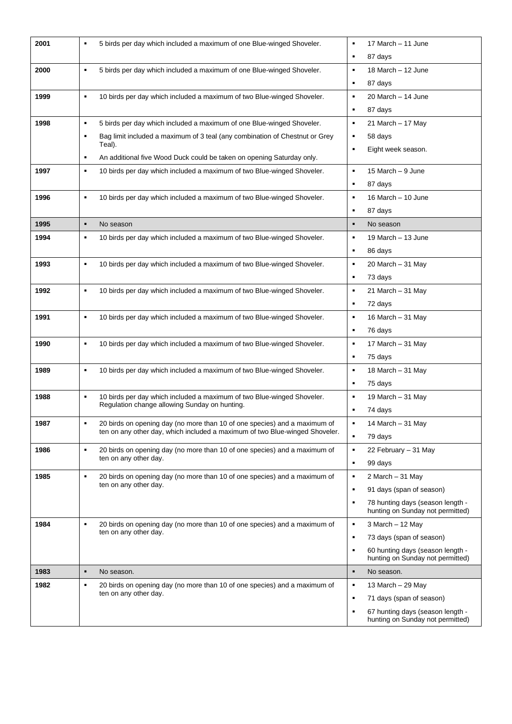| 2001 | 5 birds per day which included a maximum of one Blue-winged Shoveler.<br>٠                                                                               | 17 March - 11 June<br>٠                                                   |
|------|----------------------------------------------------------------------------------------------------------------------------------------------------------|---------------------------------------------------------------------------|
|      |                                                                                                                                                          | 87 days<br>٠                                                              |
| 2000 | 5 birds per day which included a maximum of one Blue-winged Shoveler.<br>$\blacksquare$                                                                  | 18 March - 12 June<br>$\blacksquare$                                      |
|      |                                                                                                                                                          | 87 days<br>٠                                                              |
| 1999 | 10 birds per day which included a maximum of two Blue-winged Shoveler.<br>٠                                                                              | 20 March - 14 June<br>٠                                                   |
|      |                                                                                                                                                          | 87 days                                                                   |
| 1998 | 5 birds per day which included a maximum of one Blue-winged Shoveler.<br>$\blacksquare$                                                                  | 21 March - 17 May<br>٠                                                    |
|      | Bag limit included a maximum of 3 teal (any combination of Chestnut or Grey<br>٠<br>Teal).                                                               | 58 days<br>٠                                                              |
|      | An additional five Wood Duck could be taken on opening Saturday only.<br>٠                                                                               | Eight week season.                                                        |
| 1997 | 10 birds per day which included a maximum of two Blue-winged Shoveler.<br>٠                                                                              | 15 March - 9 June<br>٠                                                    |
|      |                                                                                                                                                          | 87 days<br>٠                                                              |
| 1996 | 10 birds per day which included a maximum of two Blue-winged Shoveler.<br>$\blacksquare$                                                                 | 16 March - 10 June<br>٠                                                   |
|      |                                                                                                                                                          | 87 days<br>٠                                                              |
| 1995 | $\blacksquare$<br>No season                                                                                                                              | No season<br>٠                                                            |
| 1994 | 10 birds per day which included a maximum of two Blue-winged Shoveler.<br>$\blacksquare$                                                                 | 19 March - 13 June<br>$\blacksquare$                                      |
|      |                                                                                                                                                          | 86 days<br>٠                                                              |
| 1993 | 10 birds per day which included a maximum of two Blue-winged Shoveler.<br>٠                                                                              | 20 March $-31$ May<br>٠                                                   |
|      |                                                                                                                                                          | 73 days<br>٠                                                              |
| 1992 | 10 birds per day which included a maximum of two Blue-winged Shoveler.<br>٠                                                                              | 21 March - 31 May<br>٠                                                    |
|      |                                                                                                                                                          | 72 days<br>٠                                                              |
| 1991 | 10 birds per day which included a maximum of two Blue-winged Shoveler.<br>٠                                                                              | 16 March - 31 May<br>٠                                                    |
|      |                                                                                                                                                          | 76 days<br>٠                                                              |
| 1990 | 10 birds per day which included a maximum of two Blue-winged Shoveler.<br>$\blacksquare$                                                                 | 17 March - 31 May<br>٠                                                    |
|      |                                                                                                                                                          | 75 days<br>٠                                                              |
| 1989 | 10 birds per day which included a maximum of two Blue-winged Shoveler.<br>$\blacksquare$                                                                 | 18 March - 31 May<br>٠                                                    |
|      |                                                                                                                                                          | 75 days<br>٠                                                              |
| 1988 | 10 birds per day which included a maximum of two Blue-winged Shoveler.<br>$\blacksquare$<br>Regulation change allowing Sunday on hunting.                | 19 March - 31 May<br>٠                                                    |
|      |                                                                                                                                                          | 74 days<br>٠                                                              |
| 1987 | 20 birds on opening day (no more than 10 of one species) and a maximum of<br>ten on any other day, which included a maximum of two Blue-winged Shoveler. | 14 March - 31 May                                                         |
|      |                                                                                                                                                          | ٠<br>79 days                                                              |
| 1986 | 20 birds on opening day (no more than 10 of one species) and a maximum of<br>$\blacksquare$<br>ten on any other day.                                     | 22 February - 31 May<br>٠                                                 |
|      | $\blacksquare$                                                                                                                                           | 99 days<br>٠                                                              |
| 1985 | 20 birds on opening day (no more than 10 of one species) and a maximum of<br>ten on any other day.                                                       | 2 March – 31 May<br>٠<br>91 days (span of season)<br>٠                    |
|      |                                                                                                                                                          | 78 hunting days (season length -<br>٠                                     |
|      |                                                                                                                                                          | hunting on Sunday not permitted)                                          |
| 1984 | 20 birds on opening day (no more than 10 of one species) and a maximum of<br>$\blacksquare$                                                              | 3 March - 12 May<br>٠                                                     |
|      | ten on any other day.                                                                                                                                    | 73 days (span of season)<br>٠                                             |
|      |                                                                                                                                                          | 60 hunting days (season length -<br>٠<br>hunting on Sunday not permitted) |
| 1983 | ٠<br>No season.                                                                                                                                          | No season.<br>٠                                                           |
| 1982 | 20 birds on opening day (no more than 10 of one species) and a maximum of<br>٠                                                                           | 13 March $-$ 29 May<br>٠                                                  |
|      | ten on any other day.                                                                                                                                    | 71 days (span of season)<br>٠                                             |
|      |                                                                                                                                                          | 67 hunting days (season length -<br>٠<br>hunting on Sunday not permitted) |
|      |                                                                                                                                                          |                                                                           |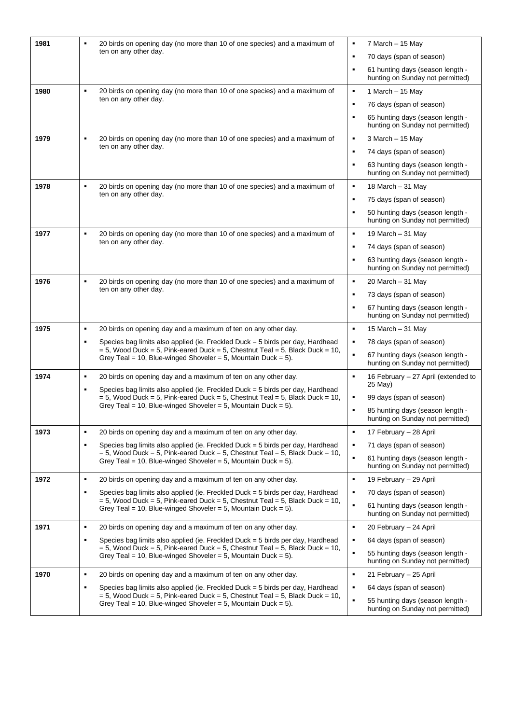| 1981 | 20 birds on opening day (no more than 10 of one species) and a maximum of<br>$\blacksquare$<br>ten on any other day.                                                                | 7 March - 15 May<br>٠                                                                  |
|------|-------------------------------------------------------------------------------------------------------------------------------------------------------------------------------------|----------------------------------------------------------------------------------------|
|      |                                                                                                                                                                                     | 70 days (span of season)<br>٠                                                          |
|      |                                                                                                                                                                                     | 61 hunting days (season length -<br>٠<br>hunting on Sunday not permitted)              |
| 1980 | $\blacksquare$<br>20 birds on opening day (no more than 10 of one species) and a maximum of<br>ten on any other day.                                                                | 1 March - 15 May<br>$\blacksquare$                                                     |
|      |                                                                                                                                                                                     | 76 days (span of season)<br>٠                                                          |
|      |                                                                                                                                                                                     | 65 hunting days (season length -<br>٠<br>hunting on Sunday not permitted)              |
| 1979 | 20 birds on opening day (no more than 10 of one species) and a maximum of<br>$\blacksquare$<br>ten on any other day.                                                                | 3 March - 15 May<br>٠                                                                  |
|      |                                                                                                                                                                                     | 74 days (span of season)<br>٠                                                          |
|      |                                                                                                                                                                                     | 63 hunting days (season length -<br>٠<br>hunting on Sunday not permitted)              |
| 1978 | 20 birds on opening day (no more than 10 of one species) and a maximum of<br>$\blacksquare$<br>ten on any other day.                                                                | $\blacksquare$<br>18 March $-$ 31 May                                                  |
|      |                                                                                                                                                                                     | 75 days (span of season)<br>٠                                                          |
|      |                                                                                                                                                                                     | 50 hunting days (season length -<br>٠<br>hunting on Sunday not permitted)              |
| 1977 | 20 birds on opening day (no more than 10 of one species) and a maximum of<br>٠<br>ten on any other day.                                                                             | 19 March - 31 May<br>٠                                                                 |
|      |                                                                                                                                                                                     | 74 days (span of season)<br>٠                                                          |
|      |                                                                                                                                                                                     | 63 hunting days (season length -<br>٠<br>hunting on Sunday not permitted)              |
| 1976 | 20 birds on opening day (no more than 10 of one species) and a maximum of<br>$\blacksquare$<br>ten on any other day.                                                                | $\blacksquare$<br>$20$ March $-31$ May                                                 |
|      |                                                                                                                                                                                     | 73 days (span of season)<br>٠                                                          |
|      |                                                                                                                                                                                     | 67 hunting days (season length -<br>٠<br>hunting on Sunday not permitted)              |
| 1975 | $\blacksquare$<br>20 birds on opening day and a maximum of ten on any other day.                                                                                                    | $\blacksquare$<br>15 March - 31 May                                                    |
|      | Species bag limits also applied (ie. Freckled Duck = 5 birds per day, Hardhead<br>$\blacksquare$<br>$= 5$ , Wood Duck = 5, Pink-eared Duck = 5, Chestnut Teal = 5, Black Duck = 10, | 78 days (span of season)<br>٠                                                          |
|      | Grey Teal = 10, Blue-winged Shoveler = 5, Mountain Duck = $5$ ).                                                                                                                    | ٠<br>67 hunting days (season length -<br>hunting on Sunday not permitted)              |
| 1974 | 20 birds on opening day and a maximum of ten on any other day.<br>$\blacksquare$                                                                                                    | $\blacksquare$<br>16 February - 27 April (extended to<br>25 May)                       |
|      | Species bag limits also applied (ie. Freckled Duck = 5 birds per day, Hardhead<br>٠<br>$= 5$ , Wood Duck = 5, Pink-eared Duck = 5, Chestnut Teal = 5, Black Duck = 10,              | $\blacksquare$<br>99 days (span of season)                                             |
|      | Grey Teal = 10, Blue-winged Shoveler = 5, Mountain Duck = $5$ ).                                                                                                                    | 85 hunting days (season length -<br>$\blacksquare$                                     |
|      |                                                                                                                                                                                     | hunting on Sunday not permitted)                                                       |
| 1973 | 20 birds on opening day and a maximum of ten on any other day.<br>٠                                                                                                                 | $\blacksquare$<br>17 February - 28 April                                               |
|      | Species bag limits also applied (ie. Freckled Duck = 5 birds per day, Hardhead<br>$\blacksquare$<br>$= 5$ , Wood Duck = 5, Pink-eared Duck = 5, Chestnut Teal = 5, Black Duck = 10, | 71 days (span of season)<br>٠<br>$\blacksquare$<br>61 hunting days (season length -    |
|      | Grey Teal = 10, Blue-winged Shoveler = 5, Mountain Duck = 5).                                                                                                                       | hunting on Sunday not permitted)                                                       |
| 1972 | $\blacksquare$<br>20 birds on opening day and a maximum of ten on any other day.                                                                                                    | $\blacksquare$<br>19 February - 29 April                                               |
|      | Species bag limits also applied (ie. Freckled Duck = 5 birds per day, Hardhead<br>٠<br>$=$ 5, Wood Duck = 5, Pink-eared Duck = 5, Chestnut Teal = 5, Black Duck = 10,               | 70 days (span of season)<br>٠                                                          |
|      | Grey Teal = 10, Blue-winged Shoveler = 5, Mountain Duck = 5).                                                                                                                       | $\blacksquare$<br>61 hunting days (season length -<br>hunting on Sunday not permitted) |
| 1971 | 20 birds on opening day and a maximum of ten on any other day.<br>$\blacksquare$                                                                                                    | $\blacksquare$<br>20 February - 24 April                                               |
|      | $\blacksquare$<br>Species bag limits also applied (ie. Freckled Duck = 5 birds per day, Hardhead<br>$= 5$ , Wood Duck = 5, Pink-eared Duck = 5, Chestnut Teal = 5, Black Duck = 10, | 64 days (span of season)<br>٠                                                          |
|      | Grey Teal = 10, Blue-winged Shoveler = 5, Mountain Duck = 5).                                                                                                                       | $\blacksquare$<br>55 hunting days (season length -<br>hunting on Sunday not permitted) |
| 1970 | 20 birds on opening day and a maximum of ten on any other day.<br>٠                                                                                                                 | $\blacksquare$<br>21 February - 25 April                                               |
|      | Species bag limits also applied (ie. Freckled Duck = 5 birds per day, Hardhead<br>$\blacksquare$<br>$= 5$ , Wood Duck = 5, Pink-eared Duck = 5, Chestnut Teal = 5, Black Duck = 10, | 64 days (span of season)<br>٠                                                          |
|      | Grey Teal = 10, Blue-winged Shoveler = 5, Mountain Duck = $5$ ).                                                                                                                    | 55 hunting days (season length -<br>hunting on Sunday not permitted)                   |
|      |                                                                                                                                                                                     |                                                                                        |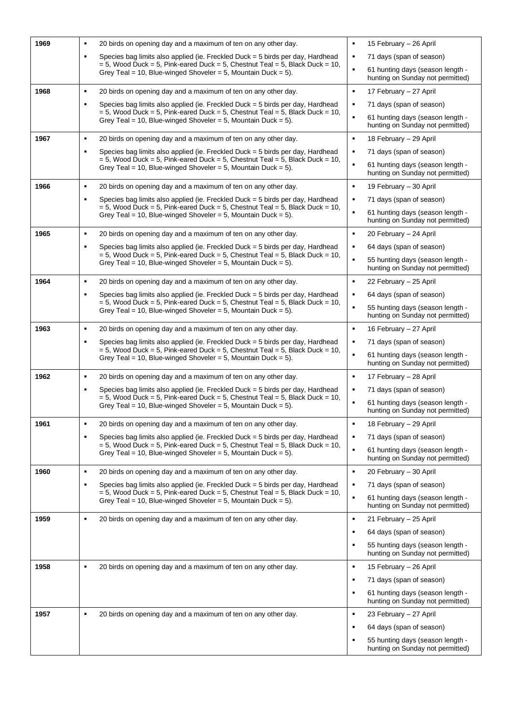| 1969 | 20 birds on opening day and a maximum of ten on any other day.<br>٠                                                                                                                 | 15 February - 26 April<br>$\blacksquare$                                               |
|------|-------------------------------------------------------------------------------------------------------------------------------------------------------------------------------------|----------------------------------------------------------------------------------------|
|      | $\blacksquare$<br>Species bag limits also applied (ie. Freckled Duck = 5 birds per day, Hardhead                                                                                    | 71 days (span of season)<br>٠                                                          |
|      | $=$ 5, Wood Duck = 5, Pink-eared Duck = 5, Chestnut Teal = 5, Black Duck = 10,<br>Grey Teal = 10, Blue-winged Shoveler = 5, Mountain Duck = 5).                                     | 61 hunting days (season length -<br>٠<br>hunting on Sunday not permitted)              |
| 1968 | $\blacksquare$<br>20 birds on opening day and a maximum of ten on any other day.                                                                                                    | $\blacksquare$<br>17 February - 27 April                                               |
|      | $\blacksquare$<br>Species bag limits also applied (ie. Freckled Duck = 5 birds per day, Hardhead<br>$=$ 5, Wood Duck = 5, Pink-eared Duck = 5, Chestnut Teal = 5, Black Duck = 10,  | 71 days (span of season)<br>٠                                                          |
|      | Grey Teal = 10, Blue-winged Shoveler = 5, Mountain Duck = 5).                                                                                                                       | $\blacksquare$<br>61 hunting days (season length -<br>hunting on Sunday not permitted) |
| 1967 | $\blacksquare$<br>20 birds on opening day and a maximum of ten on any other day.                                                                                                    | $\blacksquare$<br>18 February - 29 April                                               |
|      | Species bag limits also applied (ie. Freckled Duck = 5 birds per day, Hardhead<br>$\blacksquare$<br>$=$ 5, Wood Duck = 5, Pink-eared Duck = 5, Chestnut Teal = 5, Black Duck = 10,  | 71 days (span of season)<br>٠                                                          |
|      | Grey Teal = 10, Blue-winged Shoveler = 5, Mountain Duck = 5).                                                                                                                       | $\blacksquare$<br>61 hunting days (season length -<br>hunting on Sunday not permitted) |
| 1966 | $\blacksquare$<br>20 birds on opening day and a maximum of ten on any other day.                                                                                                    | $\blacksquare$<br>19 February - 30 April                                               |
|      | Species bag limits also applied (ie. Freckled Duck = 5 birds per day, Hardhead<br>$\blacksquare$<br>$= 5$ , Wood Duck = 5, Pink-eared Duck = 5, Chestnut Teal = 5, Black Duck = 10, | 71 days (span of season)<br>٠                                                          |
|      | Grey Teal = 10, Blue-winged Shoveler = 5, Mountain Duck = 5).                                                                                                                       | $\blacksquare$<br>61 hunting days (season length -<br>hunting on Sunday not permitted) |
| 1965 | 20 birds on opening day and a maximum of ten on any other day.<br>٠                                                                                                                 | $\blacksquare$<br>20 February - 24 April                                               |
|      | $\blacksquare$<br>Species bag limits also applied (ie. Freckled Duck = 5 birds per day, Hardhead<br>$= 5$ , Wood Duck = 5, Pink-eared Duck = 5, Chestnut Teal = 5, Black Duck = 10, | 64 days (span of season)<br>٠                                                          |
|      | Grey Teal = 10, Blue-winged Shoveler = 5, Mountain Duck = 5).                                                                                                                       | 55 hunting days (season length -<br>٠<br>hunting on Sunday not permitted)              |
| 1964 | $\blacksquare$<br>20 birds on opening day and a maximum of ten on any other day.                                                                                                    | $\blacksquare$<br>22 February - 25 April                                               |
|      | Species bag limits also applied (ie. Freckled Duck = 5 birds per day, Hardhead<br>$\blacksquare$<br>$= 5$ , Wood Duck = 5, Pink-eared Duck = 5, Chestnut Teal = 5, Black Duck = 10, | 64 days (span of season)<br>٠                                                          |
|      | Grey Teal = 10, Blue-winged Shoveler = 5, Mountain Duck = 5).                                                                                                                       | 55 hunting days (season length -<br>٠<br>hunting on Sunday not permitted)              |
| 1963 | $\blacksquare$<br>20 birds on opening day and a maximum of ten on any other day.                                                                                                    | $\blacksquare$<br>16 February - 27 April                                               |
|      | Species bag limits also applied (ie. Freckled Duck = 5 birds per day, Hardhead<br>$\blacksquare$<br>$= 5$ , Wood Duck = 5, Pink-eared Duck = 5, Chestnut Teal = 5, Black Duck = 10, | 71 days (span of season)<br>٠                                                          |
|      | Grey Teal = 10, Blue-winged Shoveler = 5, Mountain Duck = 5).                                                                                                                       | ٠<br>61 hunting days (season length -<br>hunting on Sunday not permitted)              |
| 1962 | $\blacksquare$<br>20 birds on opening day and a maximum of ten on any other day.                                                                                                    | $\blacksquare$<br>17 February - 28 April                                               |
|      | Species bag limits also applied (ie. Freckled Duck = 5 birds per day, Hardhead<br>$\blacksquare$<br>$= 5$ , Wood Duck = 5, Pink-eared Duck = 5, Chestnut Teal = 5, Black Duck = 10, | 71 days (span of season)<br>٠                                                          |
|      | Grey Teal = 10, Blue-winged Shoveler = 5, Mountain Duck = 5).                                                                                                                       | $\blacksquare$<br>61 hunting days (season length -<br>hunting on Sunday not permitted) |
| 1961 | 20 birds on opening day and a maximum of ten on any other day.                                                                                                                      | 18 February - 29 April                                                                 |
|      | Species bag limits also applied (ie. Freckled Duck = 5 birds per day, Hardhead<br>$\blacksquare$<br>$= 5$ , Wood Duck = 5, Pink-eared Duck = 5, Chestnut Teal = 5, Black Duck = 10, | 71 days (span of season)<br>٠                                                          |
|      | Grey Teal = 10, Blue-winged Shoveler = 5, Mountain Duck = 5).                                                                                                                       | $\blacksquare$<br>61 hunting days (season length -<br>hunting on Sunday not permitted) |
| 1960 | $\blacksquare$<br>20 birds on opening day and a maximum of ten on any other day.                                                                                                    | $\blacksquare$<br>20 February – 30 April                                               |
|      | Species bag limits also applied (ie. Freckled Duck = 5 birds per day, Hardhead<br>$\blacksquare$<br>$= 5$ , Wood Duck = 5, Pink-eared Duck = 5, Chestnut Teal = 5, Black Duck = 10, | 71 days (span of season)<br>٠                                                          |
|      | Grey Teal = 10, Blue-winged Shoveler = 5, Mountain Duck = 5).                                                                                                                       | 61 hunting days (season length -<br>$\blacksquare$<br>hunting on Sunday not permitted) |
| 1959 | $\blacksquare$<br>20 birds on opening day and a maximum of ten on any other day.                                                                                                    | 21 February - 25 April<br>$\blacksquare$                                               |
|      |                                                                                                                                                                                     | 64 days (span of season)<br>٠                                                          |
|      |                                                                                                                                                                                     | 55 hunting days (season length -<br>٠<br>hunting on Sunday not permitted)              |
| 1958 | 20 birds on opening day and a maximum of ten on any other day.<br>$\blacksquare$                                                                                                    | 15 February - 26 April<br>٠                                                            |
|      |                                                                                                                                                                                     | 71 days (span of season)<br>٠                                                          |
|      |                                                                                                                                                                                     | 61 hunting days (season length -<br>٠<br>hunting on Sunday not permitted)              |
| 1957 | 20 birds on opening day and a maximum of ten on any other day.<br>$\blacksquare$                                                                                                    | $\blacksquare$<br>23 February - 27 April                                               |
|      |                                                                                                                                                                                     | 64 days (span of season)<br>٠                                                          |
|      |                                                                                                                                                                                     | 55 hunting days (season length -<br>٠<br>hunting on Sunday not permitted)              |